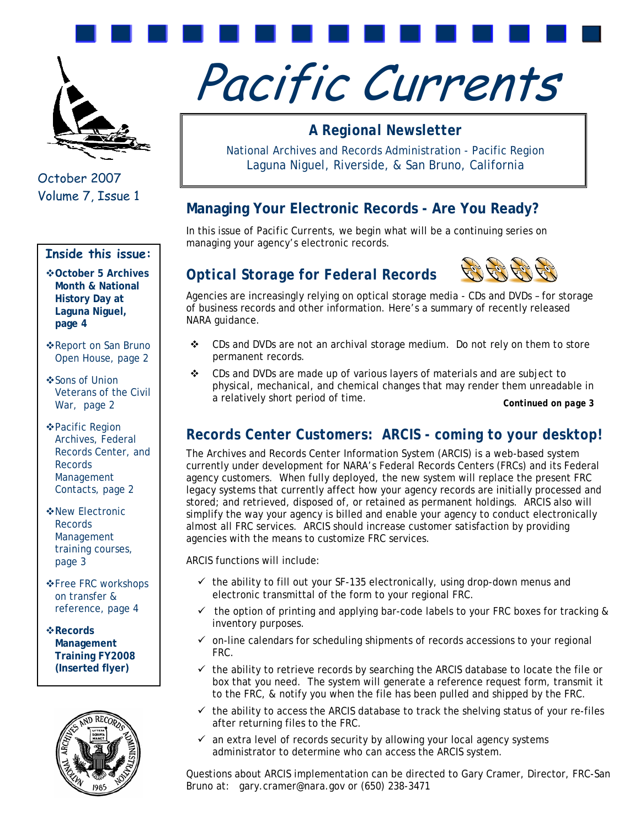

 October 2007 Volume 7, Issue 1

# **Inside this issue:**

**October 5 Archives Month & National History Day at Laguna Niguel, page 4** 

- Report on San Bruno Open House, page 2
- ❖ Sons of Union Veterans of the Civil War, page 2
- Pacific Region Archives, Federal Records Center, and **Records** Management Contacts, page 2
- New Electronic Records Management training courses, page 3
- **E**FRC workshops ↓ on transfer & reference, page 4

**Records Management Training FY2008 (Inserted flyer)** 



# Pacific Currents

# *A Regional Newsletter*

National Archives and Records Administration - Pacific Region Laguna Niguel, Riverside, & San Bruno, California

# **Managing Your Electronic Records - Are You Ready?**

In this issue of *Pacific Currents*, we begin what will be a continuing series on managing your agency's electronic records.

# *Optical Storage for Federal Records*



Agencies are increasingly relying on optical storage media - CDs and DVDs – for storage of business records and other information. Here's a summary of recently released NARA guidance.

- CDs and DVDs are *not* an archival storage medium. Do *not* rely on them to store permanent records.
- CDs and DVDs are made up of various layers of materials and are subject to physical, mechanical, and chemical changes that may render them unreadable in a relatively short period of time.

*Continued on page 3*

# *Records Center Customers: ARCIS - coming to your desktop!*

The Archives and Records Center Information System (ARCIS) is a web-based system currently under development for NARA's Federal Records Centers (FRCs) and its Federal agency customers. When fully deployed, the new system will replace the present FRC legacy systems that currently affect how your agency records are initially processed and stored; and retrieved, disposed of, or retained as permanent holdings. ARCIS also will simplify the way your agency is billed and enable your agency to conduct electronically almost all FRC services. ARCIS should increase customer satisfaction by providing agencies with the means to customize FRC services.

ARCIS functions will include:

- $\checkmark$  the ability to fill out your SF-135 electronically, using drop-down menus and electronic transmittal of the form to your regional FRC.
- $\checkmark$  the option of printing and applying bar-code labels to your FRC boxes for tracking & inventory purposes.
- $\checkmark$  on-line calendars for scheduling shipments of records accessions to your regional FRC.
- $\checkmark$  the ability to retrieve records by searching the ARCIS database to locate the file or box that you need. The system will generate a reference request form, transmit it to the FRC, & notify you when the file has been pulled and shipped by the FRC.
- $\checkmark$  the ability to access the ARCIS database to track the shelving status of your re-files after returning files to the FRC.
- $\checkmark$  an extra level of records security by allowing your local agency systems administrator to determine who can access the ARCIS system.

Questions about ARCIS implementation can be directed to Gary Cramer, Director, FRC-San Bruno at: [gary.cramer@nara.gov](mailto:gary.cramer@nara.gov) or (650) 238-3471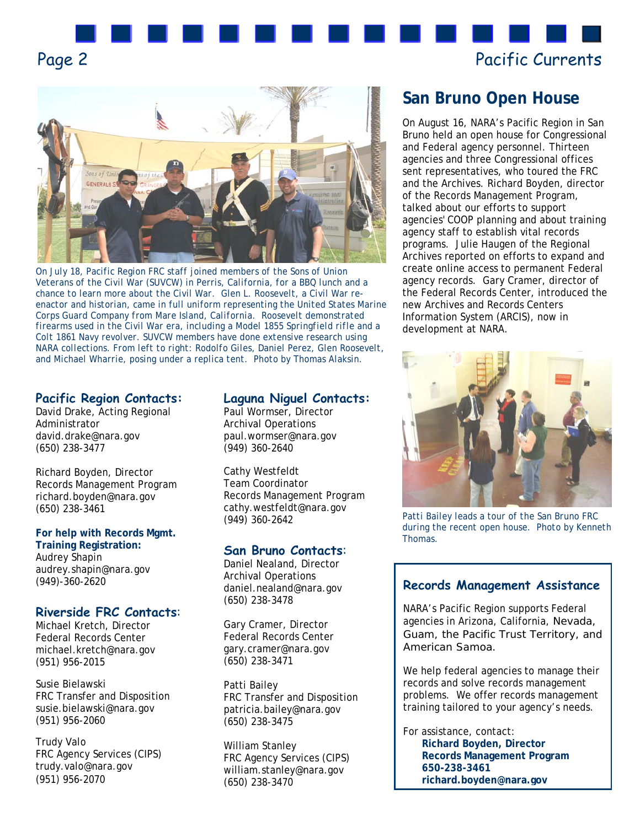



*On July 18, Pacific Region FRC staff joined members of the Sons of Union Veterans of the Civil War (SUVCW) in Perris, California, for a BBQ lunch and a chance to learn more about the Civil War. Glen L. Roosevelt, a Civil War reenactor and historian, came in full uniform representing the United States Marine Corps Guard Company from Mare Island, California. Roosevelt demonstrated firearms used in the Civil War era, including a Model 1855 Springfield rifle and a Colt 1861 Navy revolver. SUVCW members have done extensive research using NARA collections. From left to right: Rodolfo Giles, Daniel Perez, Glen Roosevelt, and Michael Wharrie, posing under a replica tent. Photo by Thomas Alaksin.*

# **Pacific Region Contacts:**

David Drake, Acting Regional Administrator david.drake@nara.gov (650) 238-3477

Richard Boyden, Director Records Management Program [richard.boyden@nara.gov](mailto:richard.boyden@nara.gov)  (650) 238-3461

**For help with Records Mgmt. Training Registration:**  Audrey Shapin audrey.shapin@nara.gov (949)-360-2620

#### **Riverside FRC Contacts**:

Michael Kretch, Director Federal Records Center michael.kretch@nara.gov (951) 956-2015

Susie Bielawski FRC Transfer and Disposition susie.bielawski@nara.gov (951) 956-2060

Trudy Valo FRC Agency Services (CIPS) trudy.valo@nara.gov (951) 956-2070

#### **Laguna Niguel Contacts:**

Paul Wormser, Director Archival Operations paul.wormser@nara.gov (949) 360-2640

Cathy Westfeldt Team Coordinator Records Management Program [cathy.westfeldt@nara.gov](mailto:cathy.westfeldt@nara.gov) (949) 360-2642

#### **San Bruno Contacts**:

Daniel Nealand, Director Archival Operations [daniel.nealand@nara.gov](mailto:daniel.nealand@nara.gov) (650) 238-3478

Gary Cramer, Director Federal Records Center [gary.cramer@nara.gov](mailto:gary.cramer@nara.gov) (650) 238-3471

Patti Bailey FRC Transfer and Disposition [patricia.bailey@nara.gov](mailto:patricia.bailey@nara.gov)  (650) 238-3475

William Stanley FRC Agency Services (CIPS) [william.stanley@nara.gov](mailto:william.stanley@nara.gov) (650) 238-3470

# **San Bruno Open House**

On August 16, NARA's Pacific Region in San Bruno held an open house for Congressional and Federal agency personnel. Thirteen agencies and three Congressional offices sent representatives, who toured the FRC and the Archives. Richard Boyden, director of the Records Management Program, talked about our efforts to support agencies' COOP planning and about training agency staff to establish vital records programs. Julie Haugen of the Regional Archives reported on efforts to expand and create online access to permanent Federal agency records. Gary Cramer, director of the Federal Records Center, introduced the new Archives and Records Centers Information System (ARCIS), now in development at NARA.



*Patti Bailey leads a tour of the San Bruno FRC during the recent open house. Photo by Kenneth Thomas.* 

#### **Records Management Assistance**

NARA's Pacific Region supports Federal agencies in Arizona, California, Nevada, Guam, the Pacific Trust Territory, and American Samoa.

We help federal agencies to manage their records and solve records management problems. We offer records management training tailored to your agency's needs.

For assistance, contact: **Richard Boyden, Director Records Management Program 650-238-3461 richard.boyden@nara.gov**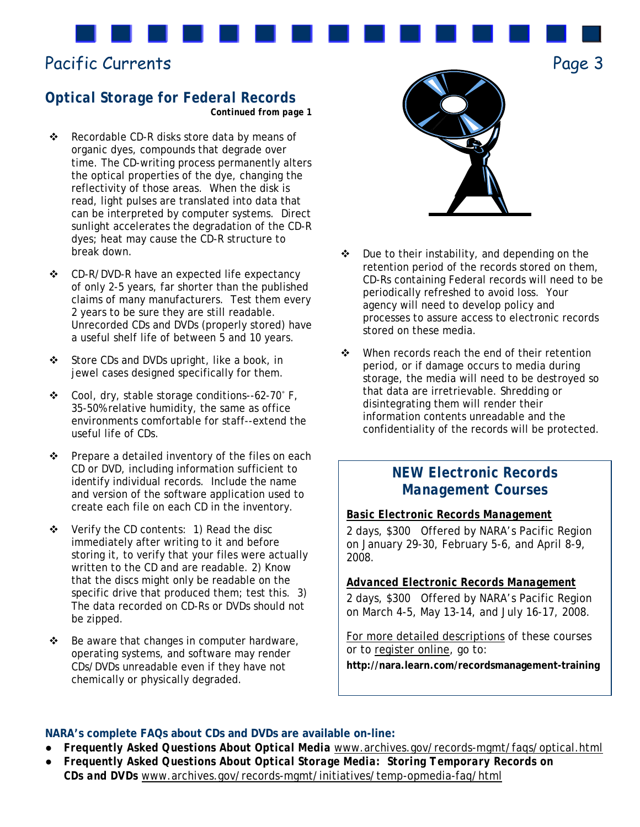# Pacific Currents

# *Optical Storage for Federal Records Continued from page 1*

- ❖ Recordable CD-R disks store data by means of organic dyes, compounds that degrade over time. The CD-writing process permanently alters the optical properties of the dye, changing the reflectivity of those areas. When the disk is read, light pulses are translated into data that can be interpreted by computer systems. Direct sunlight accelerates the degradation of the CD-R dyes; heat may cause the CD-R structure to break down.
- ❖ CD-R/DVD-R have an expected life expectancy of only 2-5 years, far shorter than the published claims of many manufacturers. Test them every 2 years to be sure they are still readable. Unrecorded CDs and DVDs (properly stored) have a useful shelf life of between 5 and 10 years.
- Store CDs and DVDs upright, like a book, in jewel cases designed specifically for them.
- Cool, dry, stable storage conditions--62-70˚ F, 35-50% relative humidity, the same as office environments comfortable for staff--extend the useful life of CDs.
- $\div$  Prepare a detailed inventory of the files on each CD or DVD, including information sufficient to identify individual records. Include the name and version of the software application used to create each file on each CD in the inventory.
- Verify the CD contents: 1) Read the disc immediately after writing to it and before storing it, to verify that your files were actually written to the CD and are readable. 2) Know that the discs might only be readable on the specific drive that produced them; test this. 3) The data recorded on CD-Rs or DVDs should not be zipped.
- $\div$  Be aware that changes in computer hardware, operating systems, and software may render CDs/DVDs unreadable even if they have not chemically or physically degraded.



Page 3

- $\div$  Due to their instability, and depending on the retention period of the records stored on them, CD-Rs containing Federal records will need to be periodically refreshed to avoid loss. Your agency will need to develop policy and processes to assure access to electronic records stored on these media.
- When records reach the end of their retention period, or if damage occurs to media during storage, the media will need to be destroyed so that data are irretrievable. Shredding or disintegrating them will render their information contents unreadable and the confidentiality of the records will be protected.

# *NEW Electronic Records Management Courses*

# *Basic Electronic Records Management*

2 days, \$300 Offered by NARA's Pacific Region on January 29-30, February 5-6, and April 8-9, 2008.

### *Advanced Electronic Records Management*

2 days, \$300 Offered by NARA's Pacific Region on March 4-5, May 13-14, and July 16-17, 2008.

For more detailed descriptions of these courses or to register online, go to:

**http://nara.learn.com/recordsmanagement-training** 

#### **NARA's complete FAQs about CDs and DVDs are available on-line:**

- *Frequently Asked Questions About Optical Media* [www.archives.gov/records-mgmt/faqs/optical.html](http://www.archives.gov/records-mgmt/faqs/optical.html)
- *Frequently Asked Questions About Optical Storage Media: Storing Temporary Records on CDs and DVDs* [www.archives.gov/records-mgmt/initiatives/temp-opmedia-faq/html](http://www.archives.gov/records-mgmt/initiatives/temp-opmedia-faq/html)